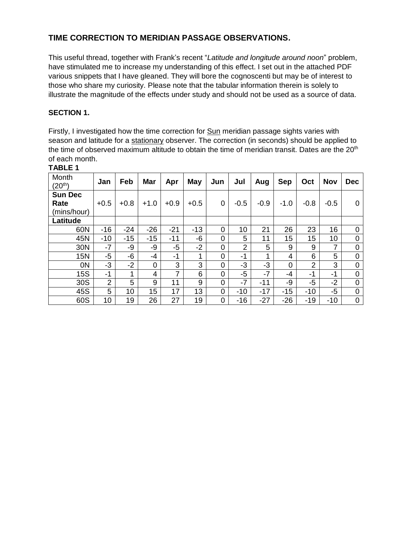## **TIME CORRECTION TO MERIDIAN PASSAGE OBSERVATIONS.**

This useful thread, together with Frank's recent "*Latitude and longitude around noon*" problem, have stimulated me to increase my understanding of this effect. I set out in the attached PDF various snippets that I have gleaned. They will bore the cognoscenti but may be of interest to those who share my curiosity. Please note that the tabular information therein is solely to illustrate the magnitude of the effects under study and should not be used as a source of data.

## **SECTION 1.**

Firstly, I investigated how the time correction for Sun meridian passage sights varies with season and latitude for a stationary observer. The correction (in seconds) should be applied to the time of observed maximum altitude to obtain the time of meridian transit. Dates are the  $20<sup>th</sup>$ of each month.

| Month<br>$(20^{th})$                  | Jan    | Feb    | Mar            | Apr            | <b>May</b> | Jun            | Jul            | Aug    | <b>Sep</b>     | Oct    | <b>Nov</b> | <b>Dec</b>     |
|---------------------------------------|--------|--------|----------------|----------------|------------|----------------|----------------|--------|----------------|--------|------------|----------------|
| <b>Sun Dec</b><br>Rate<br>(mins/hour) | $+0.5$ | $+0.8$ | $+1.0$         | $+0.9$         | $+0.5$     | 0              | $-0.5$         | $-0.9$ | $-1.0$         | $-0.8$ | $-0.5$     | $\Omega$       |
| Latitude                              |        |        |                |                |            |                |                |        |                |        |            |                |
| 60N                                   | $-16$  | $-24$  | $-26$          | $-21$          | $-13$      | 0              | 10             | 21     | 26             | 23     | 16         | 0              |
| 45N                                   | $-10$  | $-15$  | $-15$          | $-11$          | -6         | 0              | 5              | 11     | 15             | 15     | 10         | $\overline{0}$ |
| 30N                                   | $-7$   | -9     | -9             | $-5$           | $-2$       | $\overline{0}$ | $\overline{2}$ | 5      | 9              | 9      | 7          | 0              |
| <b>15N</b>                            | -5     | -6     | -4             | -1             | 1          | 0              | -1             | 1      | 4              | 6      | 5          | $\overline{0}$ |
| 0N                                    | $-3$   | $-2$   | $\overline{0}$ | 3              | 3          | $\overline{0}$ | $-3$           | $-3$   | $\overline{0}$ | 2      | 3          | $\overline{0}$ |
| <b>15S</b>                            | -1     | 1      | 4              | $\overline{7}$ | 6          | $\overline{0}$ | $-5$           | $-7$   | $-4$           | -1     | -1         | $\overline{0}$ |
| 30S                                   | 2      | 5      | 9              | 11             | 9          | $\overline{0}$ | $-7$           | $-11$  | -9             | $-5$   | $-2$       | $\overline{0}$ |
| 45S                                   | 5      | 10     | 15             | 17             | 13         | $\overline{0}$ | $-10$          | $-17$  | $-15$          | $-10$  | $-5$       | $\overline{0}$ |
| 60S                                   | 10     | 19     | 26             | 27             | 19         | 0              | $-16$          | $-27$  | $-26$          | $-19$  | $-10$      | 0              |

**TABLE 1**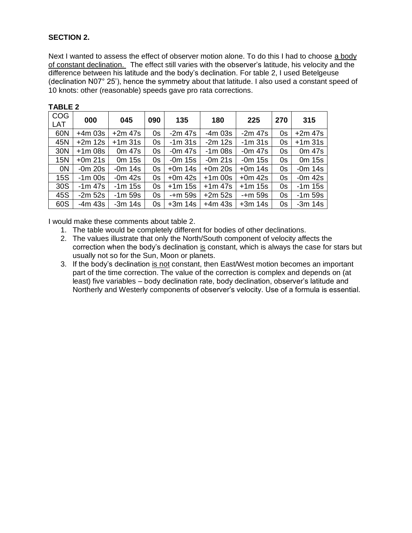## **SECTION 2.**

Next I wanted to assess the effect of observer motion alone. To do this I had to choose a body of constant declination. The effect still varies with the observer's latitude, his velocity and the difference between his latitude and the body's declination. For table 2, I used Betelgeuse (declination N07° 25'), hence the symmetry about that latitude. I also used a constant speed of 10 knots: other (reasonable) speeds gave pro rata corrections.

| <b>COG</b><br><b>LAT</b> | 000       | 045                | 090 | 135          | 180       | 225          | 270 | 315       |
|--------------------------|-----------|--------------------|-----|--------------|-----------|--------------|-----|-----------|
| 60N                      | $+4m$ 03s | $+2m$ 47s          | 0s  | $-2m$ 47s    | $-4m$ 03s | $-2m$ 47s    | 0s  | $+2m$ 47s |
| 45N                      | $+2m$ 12s | $+1m31s$           | 0s  | $-1m31s$     | $-2m$ 12s | $-1m$ 31s    | 0s  | $+1m31s$  |
| 30N                      | $+1m$ 08s | 0m 47s             | 0s  | $-0m$ 47s    | $-1m$ 08s | $-0m$ 47s    | 0s  | 0m 47s    |
| 15N                      | $+0m$ 21s | 0 <sub>m</sub> 15s | 0s  | $-0m$ 15s    | $-0m$ 21s | -0m 15s      | 0s  | 0m 15s    |
| 0N                       | $-0m$ 20s | $-0m$ 14s          | 0s  | $+0m$ 14s    | $+0m$ 20s | $+0m$ 14s    | 0s  | $-0m$ 14s |
| <b>15S</b>               | $-1m$ 00s | $-0m$ 42s          | 0s  | $+0m$ 42s    | $+1m$ 00s | $+0m$ 42s    | 0s  | $-0m$ 42s |
| 30S                      | $-1m$ 47s | $-1m$ 15s          | 0s  | +1m 15s      | $+1m$ 47s | $+1m$ 15s    | 0s  | -1m 15s   |
| 45S                      | $-2m52s$  | $-1m$ 59s          | 0s  | $-+m$ 59 $s$ | $+2m$ 52s | $-+m$ 59 $s$ | 0s  | $-1m$ 59s |
| 60S                      | -4m 43s   | $-3m$ 14s          | 0s  | $+3m$ 14s    | $+4m$ 43s | $+3m$ 14s    | 0s  | $-3m$ 14s |

I would make these comments about table 2.

- 1. The table would be completely different for bodies of other declinations.
- 2. The values illustrate that only the North/South component of velocity affects the correction when the body's declination is constant, which is always the case for stars but usually not so for the Sun, Moon or planets.
- 3. If the body's declination is not constant, then East/West motion becomes an important part of the time correction. The value of the correction is complex and depends on (at least) five variables – body declination rate, body declination, observer's latitude and Northerly and Westerly components of observer's velocity. Use of a formula is essential.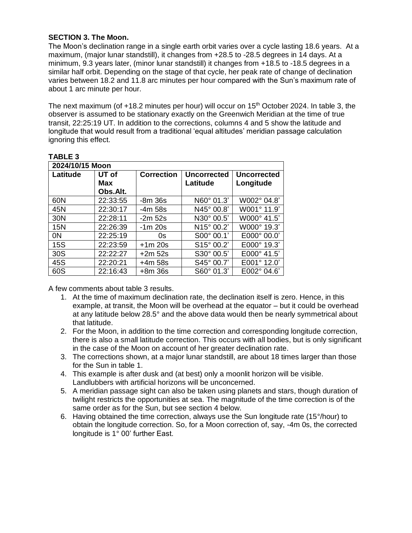#### **SECTION 3. The Moon.**

The Moon's declination range in a single earth orbit varies over a cycle lasting 18.6 years. At a maximum, (major lunar standstill), it changes from +28.5 to -28.5 degrees in 14 days. At a minimum, 9.3 years later, (minor lunar standstill) it changes from +18.5 to -18.5 degrees in a similar half orbit. Depending on the stage of that cycle, her peak rate of change of declination varies between 18.2 and 11.8 arc minutes per hour compared with the Sun's maximum rate of about 1 arc minute per hour.

The next maximum (of +18.2 minutes per hour) will occur on 15<sup>th</sup> October 2024. In table 3, the observer is assumed to be stationary exactly on the Greenwich Meridian at the time of true transit, 22:25:19 UT. In addition to the corrections, columns 4 and 5 show the latitude and longitude that would result from a traditional 'equal altitudes' meridian passage calculation ignoring this effect.

#### **TABLE 3**

| 2024/10/15 Moon |            |                   |                            |                      |  |  |  |
|-----------------|------------|-------------------|----------------------------|----------------------|--|--|--|
| Latitude        | UT of      | <b>Correction</b> | <b>Uncorrected</b>         | <b>Uncorrected</b>   |  |  |  |
|                 | <b>Max</b> |                   | Latitude                   | Longitude            |  |  |  |
|                 | Obs.Alt.   |                   |                            |                      |  |  |  |
| 60N             | 22:33:55   | -8m 36s           | $N60^{\circ}$ 01.3'        | W002° 04.8'          |  |  |  |
| 45N             | 22:30:17   | -4m 58s           | $N45^{\circ} 00.8^{\circ}$ | W001° 11.9'          |  |  |  |
| 30N             | 22:28:11   | $-2m52s$          | N30° 00.5'                 | W000° 41.5'          |  |  |  |
| 15N             | 22:26:39   | $-1m$ 20s         | $N15^{\circ} 00.2^{\circ}$ | W000° 19.3'          |  |  |  |
| 0N              | 22:25:19   | 0s                | S00° 00.1'                 | E000° 00.0'          |  |  |  |
| <b>15S</b>      | 22:23:59   | $+1m$ 20s         | S <sub>15</sub> ° 00.2'    | E000° 19.3'          |  |  |  |
| 30S             | 22:22:27   | $+2m$ 52s         | S30° 00.5'                 | E000° 41.5'          |  |  |  |
| 45S             | 22:20:21   | $+4m$ 58s         | $S45^{\circ}$ 00.7'        | $E001^{\circ}$ 12.0' |  |  |  |
| 60S             | 22:16:43   | $+8m36s$          | S60° 01.3'                 | E002° 04.6'          |  |  |  |

A few comments about table 3 results.

- 1. At the time of maximum declination rate, the declination itself is zero. Hence, in this example, at transit, the Moon will be overhead at the equator – but it could be overhead at any latitude below 28.5° and the above data would then be nearly symmetrical about that latitude.
- 2. For the Moon, in addition to the time correction and corresponding longitude correction, there is also a small latitude correction. This occurs with all bodies, but is only significant in the case of the Moon on account of her greater declination rate.
- 3. The corrections shown, at a major lunar standstill, are about 18 times larger than those for the Sun in table 1.
- 4. This example is after dusk and (at best) only a moonlit horizon will be visible. Landlubbers with artificial horizons will be unconcerned.
- 5. A meridian passage sight can also be taken using planets and stars, though duration of twilight restricts the opportunities at sea. The magnitude of the time correction is of the same order as for the Sun, but see section 4 below.
- 6. Having obtained the time correction, always use the Sun longitude rate (15 $\degree$ /hour) to obtain the longitude correction. So, for a Moon correction of, say, -4m 0s, the corrected longitude is 1° 00' further East.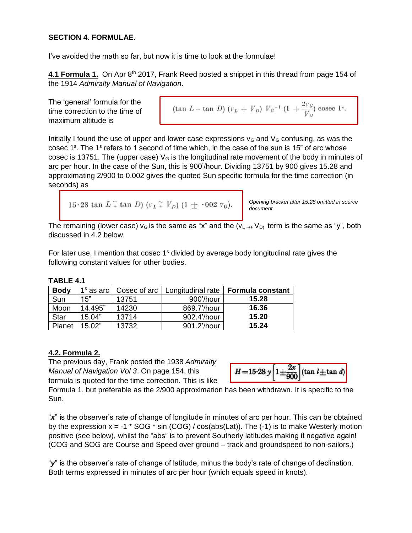#### **SECTION 4**. **FORMULAE**.

I've avoided the math so far, but now it is time to look at the formulae!

4.1 Formula 1. On Apr 8<sup>th</sup> 2017, Frank Reed posted a snippet in this thread from page 154 of the 1914 *Admiralty Manual of Navigation.*

The 'general' formula for the time correction to the time of maximum altitude is

$$
(\tan L \sim \tan D) (v_L + V_D) V_G^{-1} (1 + \frac{2v_G}{V_G}) \csc 1^s.
$$

Initially I found the use of upper and lower case expressions  $v<sub>G</sub>$  and  $V<sub>G</sub>$  confusing, as was the cosec 1<sup>s</sup>. The 1<sup>s</sup> refers to 1 second of time which, in the case of the sun is 15" of arc whose cosec is 13751. The (upper case)  $V_G$  is the longitudinal rate movement of the body in minutes of arc per hour. In the case of the Sun, this is 900'/hour. Dividing 13751 by 900 gives 15.28 and approximating 2/900 to 0.002 gives the quoted Sun specific formula for the time correction (in seconds) as

```
15.28 tan L_+^{\sim} tan D) (r_L_+^{\sim} V_p) (1 + .002 r_g).
```
*Opening bracket after 15.28 omitted in source document.*

The remaining (lower case)  $v_G$  is the same as "x" and the  $(v_L \rightarrow V_D)$  term is the same as "y", both discussed in 4.2 below.

For later use, I mention that cosec  $1<sup>s</sup>$  divided by average body longitudinal rate gives the following constant values for other bodies.

#### **TABLE 4.1**

| <b>Body</b> | $1s$ as arc $\parallel$ | Cosec of arc | Longitudinal rate | <b>Formula constant</b> |
|-------------|-------------------------|--------------|-------------------|-------------------------|
| Sun         | 15"                     | 13751        | 900'/hour         | 15.28                   |
| Moon        | 14.495"                 | 14230        | 869.7'/hour       | 16.36                   |
| <b>Star</b> | 15.04"                  | 13714        | 902.4'/hour       | 15.20                   |
| Planet      | 15.02"                  | 13732        | 901.2'/hour       | 15.24                   |

#### **4.2. Formula 2.**

The previous day, Frank posted the 1938 *Admiralty Manual of Navigation Vol 3*. On page 154, this formula is quoted for the time correction. This is like



Formula 1, but preferable as the 2/900 approximation has been withdrawn. It is specific to the Sun.

"*x*" is the observer's rate of change of longitude in minutes of arc per hour. This can be obtained by the expression  $x = -1$  \* SOG \* sin (COG) / cos(abs(Lat)). The (-1) is to make Westerly motion positive (see below), whilst the "abs" is to prevent Southerly latitudes making it negative again! (COG and SOG are Course and Speed over ground – track and groundspeed to non-sailors.)

"*y*" is the observer's rate of change of latitude, minus the body's rate of change of declination. Both terms expressed in minutes of arc per hour (which equals speed in knots).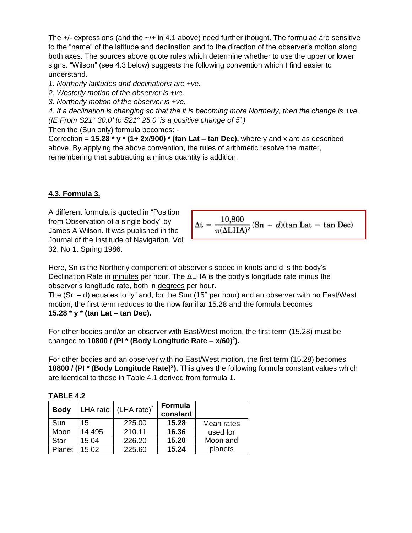The  $+/-$  expressions (and the  $-/-$  in 4.1 above) need further thought. The formulae are sensitive to the "name" of the latitude and declination and to the direction of the observer's motion along both axes. The sources above quote rules which determine whether to use the upper or lower signs. "Wilson" (see 4.3 below) suggests the following convention which I find easier to understand.

*1. Northerly latitudes and declinations are +ve.*

*2. Westerly motion of the observer is +ve.*

*3. Northerly motion of the observer is +ve.*

*4. If a declination is changing so that the it is becoming more Northerly, then the change is +ve. (IE From S21*° *30.0' to S21*° *25.0' is a positive change of 5'.)*

Then the (Sun only) formula becomes: -

Correction = **15.28 \* y \* (1+ 2x/900) \* (tan Lat – tan Dec),** where y and x are as described above. By applying the above convention, the rules of arithmetic resolve the matter, remembering that subtracting a minus quantity is addition.

#### **4.3. Formula 3.**

A different formula is quoted in "Position from Observation of a single body" by James A Wilson. It was published in the Journal of the Institude of Navigation. Vol 32. No 1. Spring 1986.

$$
\Delta t = \frac{10,800}{\pi (\Delta LHA)^2} (Sn - d)(\tan Lat - \tan Dec)
$$

Here, Sn is the Northerly component of observer's speed in knots and d is the body's Declination Rate in minutes per hour. The ΔLHA is the body's longitude rate minus the observer's longitude rate, both in degrees per hour.

The  $(Sn - d)$  equates to "y" and, for the Sun (15° per hour) and an observer with no East/West motion, the first term reduces to the now familiar 15.28 and the formula becomes **15.28 \* y \* (tan Lat – tan Dec).** 

For other bodies and/or an observer with East/West motion, the first term (15.28) must be changed to **10800 / (PI \* (Body Longitude Rate – x/60)<sup>2</sup> ).**

For other bodies and an observer with no East/West motion, the first term (15.28) becomes **10800 / (PI \* (Body Longitude Rate)<sup>2</sup> ).** This gives the following formula constant values which are identical to those in Table 4.1 derived from formula 1.

| <b>Body</b> | LHA rate | (LHA rate) <sup>2</sup> | Formula<br>constant |            |
|-------------|----------|-------------------------|---------------------|------------|
| Sun         | 15       | 225.00                  | 15.28               | Mean rates |
| Moon        | 14.495   | 210.11                  | 16.36               | used for   |
| Star        | 15.04    | 226.20                  | 15.20               | Moon and   |
| Planet      | 15.02    | 225.60                  | 15.24               | planets    |

**TABLE 4.2**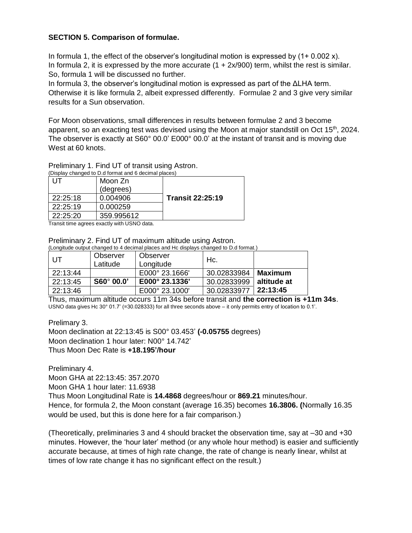#### **SECTION 5. Comparison of formulae.**

In formula 1, the effect of the observer's longitudinal motion is expressed by  $(1+ 0.002 x)$ . In formula 2, it is expressed by the more accurate  $(1 + 2x/900)$  term, whilst the rest is similar. So, formula 1 will be discussed no further.

In formula 3, the observer's longitudinal motion is expressed as part of the ΔLHA term. Otherwise it is like formula 2, albeit expressed differently. Formulae 2 and 3 give very similar results for a Sun observation.

For Moon observations, small differences in results between formulae 2 and 3 become apparent, so an exacting test was devised using the Moon at major standstill on Oct 15<sup>th</sup>, 2024. The observer is exactly at S60° 00.0' E000° 00.0' at the instant of transit and is moving due West at 60 knots.

# Preliminary 1. Find UT of transit using Astron.

| (Display changed to D.d format and 6 decimal places) |            |                         |  |  |  |  |
|------------------------------------------------------|------------|-------------------------|--|--|--|--|
| UТ                                                   | Moon Zn    |                         |  |  |  |  |
|                                                      | (degrees)  |                         |  |  |  |  |
| 22:25:18                                             | 0.004906   | <b>Transit 22:25:19</b> |  |  |  |  |
| 22:25:19                                             | 0.000259   |                         |  |  |  |  |
| 22:25:20                                             | 359.995612 |                         |  |  |  |  |
|                                                      |            |                         |  |  |  |  |

Transit time agrees exactly with USNO data.

Preliminary 2. Find UT of maximum altitude using Astron.

(Longitude output changed to 4 decimal places and Hc displays changed to D.d format.)

| I UT     | Observer<br>Latitude | Observer<br>Longitude | Hc.         |             |
|----------|----------------------|-----------------------|-------------|-------------|
| 22:13:44 |                      | E000° 23.1666'        | 30.02833984 | Maximum     |
| 22:13:45 | $S60^\circ 00.0'$    | E000° 23.1336'        | 30.02833999 | altitude at |
| 22:13:46 |                      | E000° 23.1000'        | 30.02833977 | 22:13:45    |

Thus, maximum altitude occurs 11m 34s before transit and **the correction is +11m 34s**. USNO data gives Hc 30° 01.7' (=30.028333) for all three seconds above – it only permits entry of location to 0.1'.

Prelimary 3.

Moon declination at 22:13:45 is S00° 03.453' **(-0.05755** degrees) Moon declination 1 hour later: N00° 14.742' Thus Moon Dec Rate is **+18.195'/hour**

Preliminary 4. Moon GHA at 22:13:45: 357.2070 Moon GHA 1 hour later: 11.6938 Thus Moon Longitudinal Rate is **14.4868** degrees/hour or **869.21** minutes/hour. Hence, for formula 2, the Moon constant (average 16.35) becomes **16.3806. (**Normally 16.35 would be used, but this is done here for a fair comparison.)

(Theoretically, preliminaries 3 and 4 should bracket the observation time, say at –30 and +30 minutes. However, the 'hour later' method (or any whole hour method) is easier and sufficiently accurate because, at times of high rate change, the rate of change is nearly linear, whilst at times of low rate change it has no significant effect on the result.)